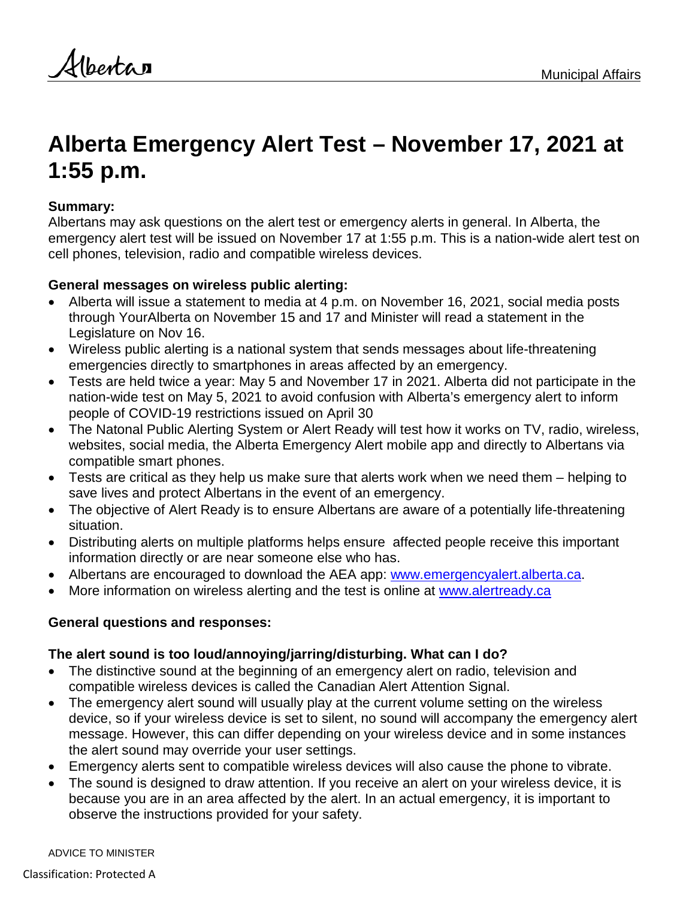Alberta

# **Alberta Emergency Alert Test – November 17, 2021 at 1:55 p.m.**

#### **Summary:**

Albertans may ask questions on the alert test or emergency alerts in general. In Alberta, the emergency alert test will be issued on November 17 at 1:55 p.m. This is a nation-wide alert test on cell phones, television, radio and compatible wireless devices.

#### **General messages on wireless public alerting:**

- Alberta will issue a statement to media at 4 p.m. on November 16, 2021, social media posts through YourAlberta on November 15 and 17 and Minister will read a statement in the Legislature on Nov 16.
- Wireless public alerting is a national system that sends messages about life-threatening emergencies directly to smartphones in areas affected by an emergency.
- Tests are held twice a year: May 5 and November 17 in 2021. Alberta did not participate in the nation-wide test on May 5, 2021 to avoid confusion with Alberta's emergency alert to inform people of COVID-19 restrictions issued on April 30
- The Natonal Public Alerting System or Alert Ready will test how it works on TV, radio, wireless, websites, social media, the Alberta Emergency Alert mobile app and directly to Albertans via compatible smart phones.
- Tests are critical as they help us make sure that alerts work when we need them helping to save lives and protect Albertans in the event of an emergency.
- The objective of Alert Ready is to ensure Albertans are aware of a potentially life-threatening situation.
- Distributing alerts on multiple platforms helps ensure affected people receive this important information directly or are near someone else who has.
- Albertans are encouraged to download the AEA app: www.emergencyalert.alberta.ca.
- More information on wireless alerting and the test is online at [www.alertready.ca](http://www.alertready.ca/)

#### **General questions and responses:**

#### **The alert sound is too loud/annoying/jarring/disturbing. What can I do?**

- The distinctive sound at the beginning of an emergency alert on radio, television and compatible wireless devices is called the Canadian Alert Attention Signal.
- The emergency alert sound will usually play at the current volume setting on the wireless device, so if your wireless device is set to silent, no sound will accompany the emergency alert message. However, this can differ depending on your wireless device and in some instances the alert sound may override your user settings.
- Emergency alerts sent to compatible wireless devices will also cause the phone to vibrate.
- The sound is designed to draw attention. If you receive an alert on your wireless device, it is because you are in an area affected by the alert. In an actual emergency, it is important to observe the instructions provided for your safety.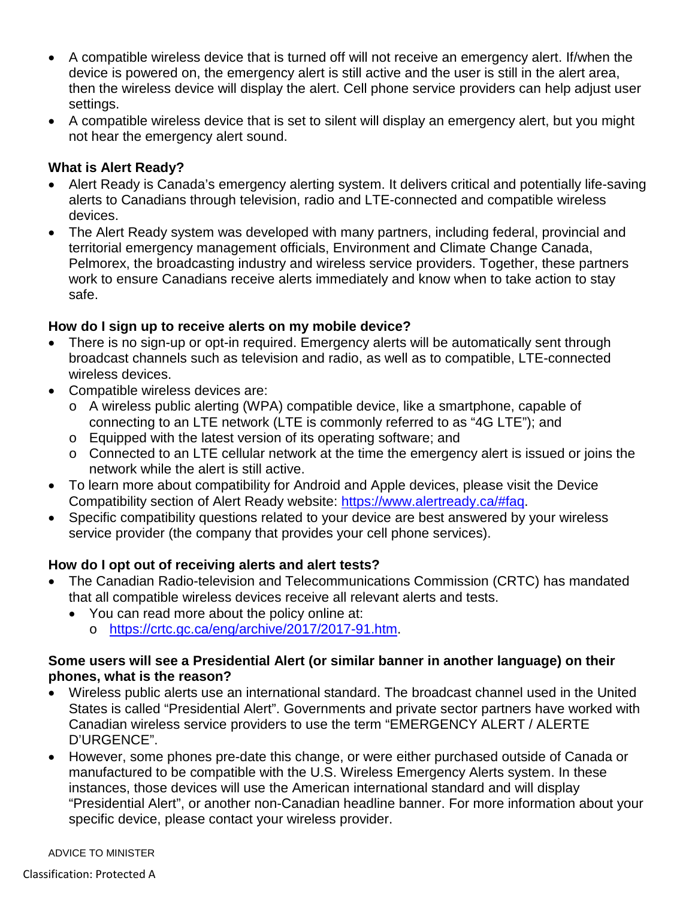- A compatible wireless device that is turned off will not receive an emergency alert. If/when the device is powered on, the emergency alert is still active and the user is still in the alert area, then the wireless device will display the alert. Cell phone service providers can help adjust user settings.
- A compatible wireless device that is set to silent will display an emergency alert, but you might not hear the emergency alert sound.

#### **What is Alert Ready?**

- Alert Ready is Canada's emergency alerting system. It delivers critical and potentially life-saving alerts to Canadians through television, radio and LTE-connected and compatible wireless devices.
- The Alert Ready system was developed with many partners, including federal, provincial and territorial emergency management officials, Environment and Climate Change Canada, Pelmorex, the broadcasting industry and wireless service providers. Together, these partners work to ensure Canadians receive alerts immediately and know when to take action to stay safe.

#### **How do I sign up to receive alerts on my mobile device?**

- There is no sign-up or opt-in required. Emergency alerts will be automatically sent through broadcast channels such as television and radio, as well as to compatible, LTE-connected wireless devices.
- Compatible wireless devices are:
	- o A wireless public alerting (WPA) compatible device, like a smartphone, capable of connecting to an LTE network (LTE is commonly referred to as "4G LTE"); and
	- o Equipped with the latest version of its operating software; and
	- o Connected to an LTE cellular network at the time the emergency alert is issued or joins the network while the alert is still active.
- To learn more about compatibility for Android and Apple devices, please visit the Device Compatibility section of Alert Ready website: [https://www.alertready.ca/#faq.](https://www.alertready.ca/#faq)
- Specific compatibility questions related to your device are best answered by your wireless service provider (the company that provides your cell phone services).

#### **How do I opt out of receiving alerts and alert tests?**

- The Canadian Radio-television and Telecommunications Commission (CRTC) has mandated that all compatible wireless devices receive all relevant alerts and tests.
	- You can read more about the policy online at:
		- o [https://crtc.gc.ca/eng/archive/2017/2017-91.htm.](https://crtc.gc.ca/eng/archive/2017/2017-91.htm)

#### **Some users will see a Presidential Alert (or similar banner in another language) on their phones, what is the reason?**

- Wireless public alerts use an international standard. The broadcast channel used in the United States is called "Presidential Alert". Governments and private sector partners have worked with Canadian wireless service providers to use the term "EMERGENCY ALERT / ALERTE D'URGENCE".
- However, some phones pre-date this change, or were either purchased outside of Canada or manufactured to be compatible with the U.S. Wireless Emergency Alerts system. In these instances, those devices will use the American international standard and will display "Presidential Alert", or another non-Canadian headline banner. For more information about your specific device, please contact your wireless provider.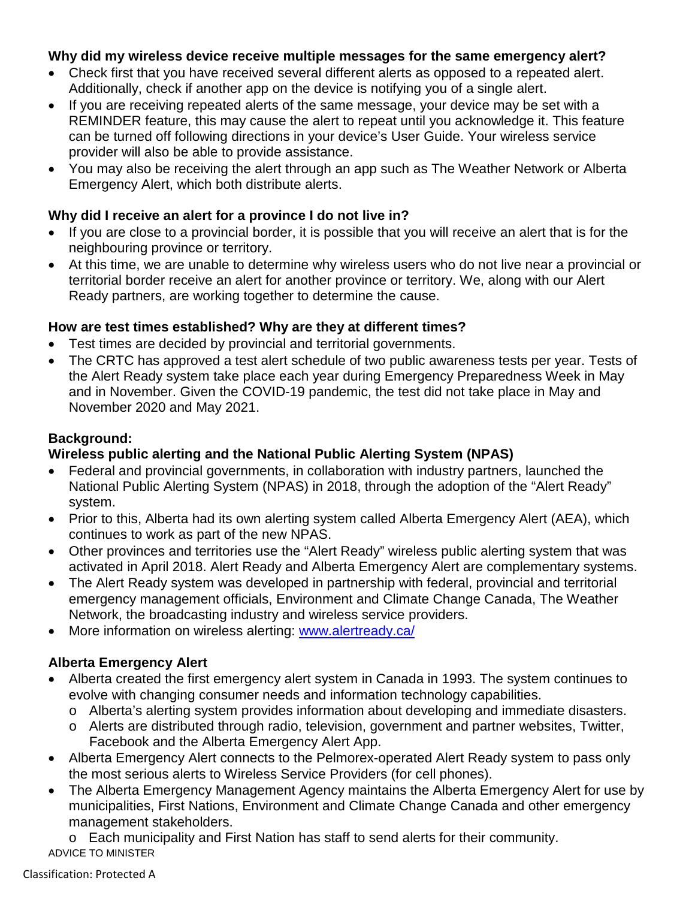#### **Why did my wireless device receive multiple messages for the same emergency alert?**

- Check first that you have received several different alerts as opposed to a repeated alert. Additionally, check if another app on the device is notifying you of a single alert.
- If you are receiving repeated alerts of the same message, your device may be set with a REMINDER feature, this may cause the alert to repeat until you acknowledge it. This feature can be turned off following directions in your device's User Guide. Your wireless service provider will also be able to provide assistance.
- You may also be receiving the alert through an app such as The Weather Network or Alberta Emergency Alert, which both distribute alerts.

#### **Why did I receive an alert for a province I do not live in?**

- If you are close to a provincial border, it is possible that you will receive an alert that is for the neighbouring province or territory.
- At this time, we are unable to determine why wireless users who do not live near a provincial or territorial border receive an alert for another province or territory. We, along with our Alert Ready partners, are working together to determine the cause.

#### **How are test times established? Why are they at different times?**

- Test times are decided by provincial and territorial governments.
- The CRTC has approved a test alert schedule of two public awareness tests per year. Tests of the Alert Ready system take place each year during Emergency Preparedness Week in May and in November. Given the COVID-19 pandemic, the test did not take place in May and November 2020 and May 2021.

#### **Background:**

## **Wireless public alerting and the National Public Alerting System (NPAS)**

- Federal and provincial governments, in collaboration with industry partners, launched the National Public Alerting System (NPAS) in 2018, through the adoption of the "Alert Ready" system.
- Prior to this, Alberta had its own alerting system called Alberta Emergency Alert (AEA), which continues to work as part of the new NPAS.
- Other provinces and territories use the "Alert Ready" wireless public alerting system that was activated in April 2018. Alert Ready and Alberta Emergency Alert are complementary systems.
- The Alert Ready system was developed in partnership with federal, provincial and territorial emergency management officials, Environment and Climate Change Canada, The Weather Network, the broadcasting industry and wireless service providers.
- More information on wireless alerting: [www.alertready.ca/](http://www.alertready.ca/)

## **Alberta Emergency Alert**

- Alberta created the first emergency alert system in Canada in 1993. The system continues to evolve with changing consumer needs and information technology capabilities.
	- o Alberta's alerting system provides information about developing and immediate disasters.
	- o Alerts are distributed through radio, television, government and partner websites, Twitter, Facebook and the Alberta Emergency Alert App.
- Alberta Emergency Alert connects to the Pelmorex-operated Alert Ready system to pass only the most serious alerts to Wireless Service Providers (for cell phones).
- The Alberta Emergency Management Agency maintains the Alberta Emergency Alert for use by municipalities, First Nations, Environment and Climate Change Canada and other emergency management stakeholders.

ADVICE TO MINISTER o Each municipality and First Nation has staff to send alerts for their community.